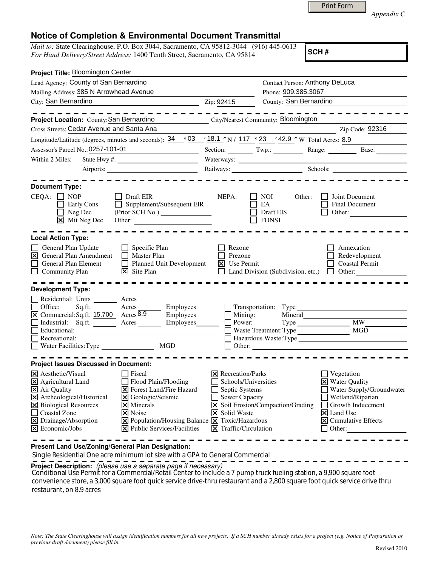| <b>Print Form</b> |
|-------------------|
|                   |

*Appendix C* 

## **Notice of Completion & Environmental Document Transmittal**

*Mail to:* State Clearinghouse, P.O. Box 3044, Sacramento, CA 95812-3044 (916) 445-0613 *For Hand Delivery/Street Address:* 1400 Tenth Street, Sacramento, CA 95814

**SCH #**

| Project Title: Bloomington Center                                                                                                                                                                                                                                                                                                                                                                                                                                          |                                                                                                                                                                     |                                                     |                                                                                                                                                                                                        |
|----------------------------------------------------------------------------------------------------------------------------------------------------------------------------------------------------------------------------------------------------------------------------------------------------------------------------------------------------------------------------------------------------------------------------------------------------------------------------|---------------------------------------------------------------------------------------------------------------------------------------------------------------------|-----------------------------------------------------|--------------------------------------------------------------------------------------------------------------------------------------------------------------------------------------------------------|
| Lead Agency: County of San Bernardino                                                                                                                                                                                                                                                                                                                                                                                                                                      |                                                                                                                                                                     | Contact Person: Anthony DeLuca                      |                                                                                                                                                                                                        |
| Mailing Address: 385 N Arrowhead Avenue                                                                                                                                                                                                                                                                                                                                                                                                                                    |                                                                                                                                                                     | Phone: 909.385.3067                                 |                                                                                                                                                                                                        |
| City: San Bernardino<br>$\chi$ 2.1p: 92415                                                                                                                                                                                                                                                                                                                                                                                                                                 |                                                                                                                                                                     | County: San Bernardino                              |                                                                                                                                                                                                        |
| Project Location: County: San Bernardino                                                                                                                                                                                                                                                                                                                                                                                                                                   |                                                                                                                                                                     | City/Nearest Community: Bloomington                 |                                                                                                                                                                                                        |
| Cross Streets: Cedar Avenue and Santa Ana                                                                                                                                                                                                                                                                                                                                                                                                                                  |                                                                                                                                                                     |                                                     | Zip Code: 92316                                                                                                                                                                                        |
| Longitude/Latitude (degrees, minutes and seconds): $34 \cdot 93 \cdot 18.1$ "N / 117 $\cdot 23$ '42.9 "W Total Acres: 8.9                                                                                                                                                                                                                                                                                                                                                  |                                                                                                                                                                     |                                                     |                                                                                                                                                                                                        |
| Assessor's Parcel No.: 0257-101-01                                                                                                                                                                                                                                                                                                                                                                                                                                         |                                                                                                                                                                     |                                                     | Section: Twp.: Range: Base:                                                                                                                                                                            |
| Within 2 Miles:                                                                                                                                                                                                                                                                                                                                                                                                                                                            |                                                                                                                                                                     |                                                     |                                                                                                                                                                                                        |
|                                                                                                                                                                                                                                                                                                                                                                                                                                                                            |                                                                                                                                                                     |                                                     | Railways: Schools:                                                                                                                                                                                     |
| <b>Document Type:</b><br>$CEQA: \Box NP$<br>  Draft EIR<br>Early Cons<br>Supplement/Subsequent EIR<br>$\Box$ Neg Dec<br>$\vert \mathsf{x} \vert$ Mit Neg Dec<br>Other:                                                                                                                                                                                                                                                                                                     | NEPA:                                                                                                                                                               | NOI 11<br>Other:<br>EA<br>Draft EIS<br><b>FONSI</b> | Joint Document<br><b>Final Document</b><br>Other:                                                                                                                                                      |
| <b>Local Action Type:</b>                                                                                                                                                                                                                                                                                                                                                                                                                                                  |                                                                                                                                                                     |                                                     |                                                                                                                                                                                                        |
| General Plan Update<br>$\Box$ Specific Plan<br>$\triangleright$ General Plan Amendment<br>$\Box$ Master Plan<br>General Plan Element<br>Planned Unit Development<br>$\overline{\mathsf{x}}$ Site Plan<br>$\Box$ Community Plan                                                                                                                                                                                                                                             | Rezone<br>Prezone<br>$X$ Use Permit                                                                                                                                 |                                                     | Annexation<br>Redevelopment<br>Coastal Permit<br>Land Division (Subdivision, etc.) $\Box$ Other:                                                                                                       |
| <b>Development Type:</b>                                                                                                                                                                                                                                                                                                                                                                                                                                                   |                                                                                                                                                                     |                                                     |                                                                                                                                                                                                        |
| Residential: Units ________ Acres _______<br>Sq.ft. Acres Employees Transportation: Type<br>Office:<br>$\underline{\boxtimes}$ Commercial:Sq.ft. $\overline{15,700}$ Acres $\overline{8.9}$<br>Industrial: Sq.ft. Acres<br>Employees________<br>$\overline{\Box}$ Educational:<br>$\Box$ Recreational:                                                                                                                                                                     | Power:                                                                                                                                                              | Waste Treatment: Type MGD                           | <b>MW</b>                                                                                                                                                                                              |
| <b>Project Issues Discussed in Document:</b>                                                                                                                                                                                                                                                                                                                                                                                                                               |                                                                                                                                                                     |                                                     |                                                                                                                                                                                                        |
| <b>X</b> Aesthetic/Visual<br>l Fiscal<br>$\boxtimes$ Agricultural Land<br>Flood Plain/Flooding<br>X Air Quality<br><b>X</b> Forest Land/Fire Hazard<br>X Archeological/Historical<br>X Geologic/Seismic<br>X Biological Resources<br>$\times$ Minerals<br>Coastal Zone<br><b>X</b> Noise<br>$\boxtimes$ Population/Housing Balance $\boxtimes$ Toxic/Hazardous<br>$\boxtimes$ Drainage/Absorption<br>$\Xi$ Economic/Jobs<br>$ \mathbf{\times} $ Public Services/Facilities | <b>X</b> Recreation/Parks<br>Schools/Universities<br>Septic Systems<br>$\mathbf{I}$<br>Sewer Capacity<br><b>X</b> Solid Waste<br>$ \mathsf{X} $ Traffic/Circulation | X Soil Erosion/Compaction/Grading                   | Vegetation<br><b>X</b> Water Quality<br>Water Supply/Groundwater<br>Wetland/Riparian<br>Growth Inducement<br>$\vert \mathsf{x} \vert$ Land Use<br>$\overline{\mathsf{X}}$ Cumulative Effects<br>Other: |

**Present Land Use/Zoning/General Plan Designation:**

Single Residential One acre minimum lot size with a GPA to General Commercial

**Project Description:** (please use a separate page if necessary)

 Conditional Use Permit for a Commercial/Retail Center to include a 7 pump truck fueling station, a 9,900 square foot convenience store, a 3,000 square foot quick service drive-thru restaurant and a 2,800 square foot quick service drive thru restaurant, on 8.9 acres